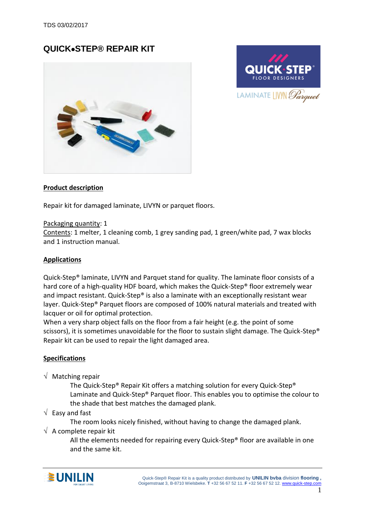# **QUICKSTEP® REPAIR KIT**





### **Product description**

Repair kit for damaged laminate, LIVYN or parquet floors.

#### Packaging quantity: 1

Contents: 1 melter, 1 cleaning comb, 1 grey sanding pad, 1 green/white pad, 7 wax blocks and 1 instruction manual.

#### **Applications**

Quick-Step® laminate, LIVYN and Parquet stand for quality. The laminate floor consists of a hard core of a high-quality HDF board, which makes the Quick-Step® floor extremely wear and impact resistant. Quick-Step® is also a laminate with an exceptionally resistant wear layer. Quick-Step® Parquet floors are composed of 100% natural materials and treated with lacquer or oil for optimal protection.

When a very sharp object falls on the floor from a fair height (e.g. the point of some scissors), it is sometimes unavoidable for the floor to sustain slight damage. The Quick-Step<sup>®</sup> Repair kit can be used to repair the light damaged area.

#### **Specifications**

 $\sqrt{ }$  Matching repair

The Quick-Step® Repair Kit offers a matching solution for every Quick-Step® Laminate and Quick-Step® Parquet floor. This enables you to optimise the colour to the shade that best matches the damaged plank.

 $\sqrt{ }$  Easy and fast

The room looks nicely finished, without having to change the damaged plank.

 $\sqrt{ }$  A complete repair kit

All the elements needed for repairing every Quick-Step® floor are available in one and the same kit.

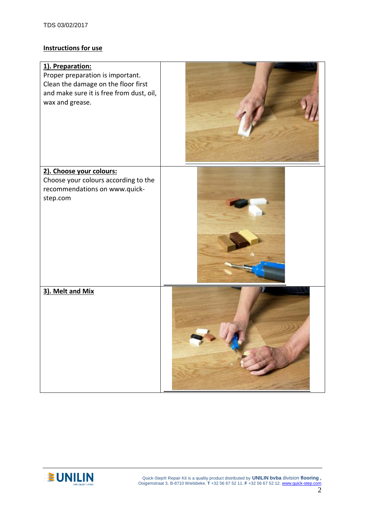## **Instructions for use**

| 1). Preparation:<br>Proper preparation is important.<br>Clean the damage on the floor first<br>and make sure it is free from dust, oil,<br>wax and grease. |  |
|------------------------------------------------------------------------------------------------------------------------------------------------------------|--|
| 2). Choose your colours:<br>Choose your colours according to the<br>recommendations on www.quick-<br>step.com                                              |  |
| 3). Melt and Mix                                                                                                                                           |  |

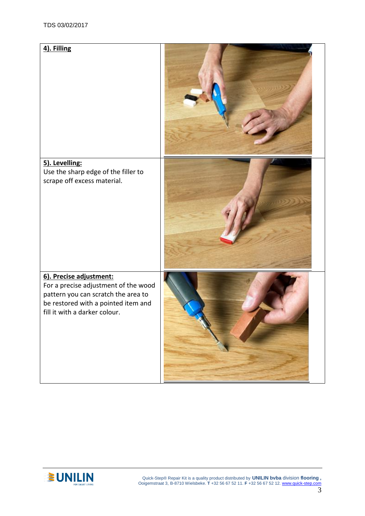



 Quick-Step® Repair Kit is a quality product distributed by **UNILIN bvba** division **flooring ,** Ooigemstraat 3, B-8710 Wielsbeke. **T** +32 56 67 52 11. **F** +32 56 67 52 12[. www.quick-step.com](http://www.unilin.com/)